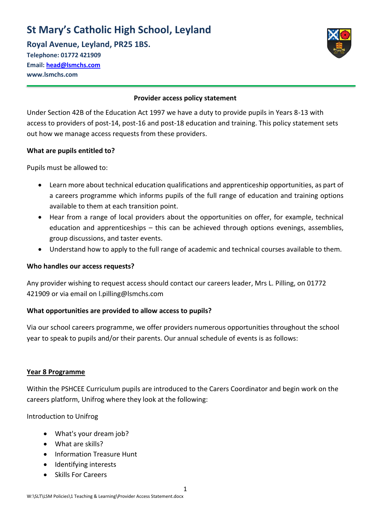# **St Mary's Catholic High School, Leyland**

**Royal Avenue, Leyland, PR25 1BS. Telephone: 01772 421909 Email: [head@lsmchs.com](mailto:head@lsmchs.com)**



#### **Provider access policy statement**

Under Section 42B of the Education Act 1997 we have a duty to provide pupils in Years 8-13 with access to providers of post-14, post-16 and post-18 education and training. This policy statement sets out how we manage access requests from these providers.

#### **What are pupils entitled to?**

Pupils must be allowed to:

**www.lsmchs.com**

- Learn more about technical education qualifications and apprenticeship opportunities, as part of a careers programme which informs pupils of the full range of education and training options available to them at each transition point.
- Hear from a range of local providers about the opportunities on offer, for example, technical education and apprenticeships – this can be achieved through options evenings, assemblies, group discussions, and taster events.
- Understand how to apply to the full range of academic and technical courses available to them.

#### **Who handles our access requests?**

Any provider wishing to request access should contact our careers leader, Mrs L. Pilling, on 01772 421909 or via email on l.pilling@lsmchs.com

## **What opportunities are provided to allow access to pupils?**

Via our school careers programme, we offer providers numerous opportunities throughout the school year to speak to pupils and/or their parents. Our annual schedule of events is as follows:

#### **Year 8 Programme**

Within the PSHCEE Curriculum pupils are introduced to the Carers Coordinator and begin work on the careers platform, Unifrog where they look at the following:

Introduction to Unifrog

- What's your dream job?
- What are skills?
- Information Treasure Hunt
- Identifying interests
- Skills For Careers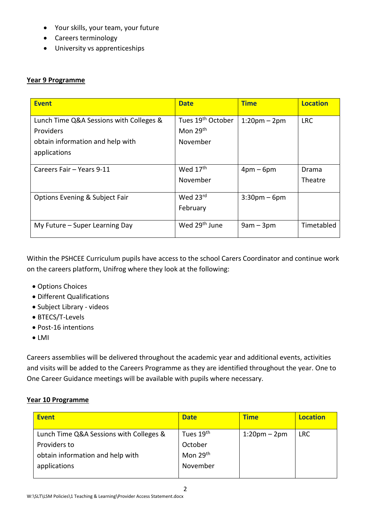- Your skills, your team, your future
- Careers terminology
- University vs apprenticeships

## **Year 9 Programme**

| <b>Event</b>                              | <b>Date</b>                   | <b>Time</b>        | <b>Location</b> |
|-------------------------------------------|-------------------------------|--------------------|-----------------|
| Lunch Time Q&A Sessions with Colleges &   | Tues 19 <sup>th</sup> October | $1:20$ pm – $2$ pm | <b>LRC</b>      |
| <b>Providers</b>                          | Mon 29 <sup>th</sup>          |                    |                 |
| obtain information and help with          | November                      |                    |                 |
| applications                              |                               |                    |                 |
| Careers Fair - Years 9-11                 | Wed 17 <sup>th</sup>          | $4pm-6pm$          | Drama           |
|                                           | November                      |                    | Theatre         |
| <b>Options Evening &amp; Subject Fair</b> | Wed 23rd                      | $3:30$ pm – 6pm    |                 |
|                                           | February                      |                    |                 |
| My Future - Super Learning Day            | Wed 29 <sup>th</sup> June     | $9am - 3pm$        | Timetabled      |

Within the PSHCEE Curriculum pupils have access to the school Carers Coordinator and continue work on the careers platform, Unifrog where they look at the following:

- Options Choices
- Different Qualifications
- Subject Library videos
- BTECS/T-Levels
- Post-16 intentions
- LMI

Careers assemblies will be delivered throughout the academic year and additional events, activities and visits will be added to the Careers Programme as they are identified throughout the year. One to One Career Guidance meetings will be available with pupils where necessary.

## **Year 10 Programme**

| <b>Date</b>          | <b>Time</b>     | <b>Location</b> |
|----------------------|-----------------|-----------------|
| Tues 19th            | $1:20$ pm – 2pm | <b>LRC</b>      |
| October              |                 |                 |
| Mon 29 <sup>th</sup> |                 |                 |
| November             |                 |                 |
|                      |                 |                 |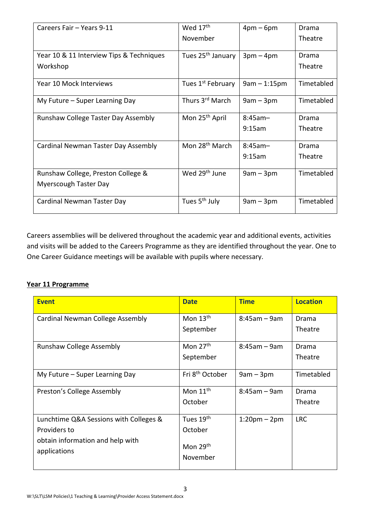| Careers Fair - Years 9-11                | Wed 17 <sup>th</sup>          | $4pm-6pm$      | Drama      |
|------------------------------------------|-------------------------------|----------------|------------|
|                                          | November                      |                | Theatre    |
| Year 10 & 11 Interview Tips & Techniques | Tues 25 <sup>th</sup> January | $3pm-4pm$      | Drama      |
| Workshop                                 |                               |                | Theatre    |
| Year 10 Mock Interviews                  | Tues 1 <sup>st</sup> February | $9am - 1:15pm$ | Timetabled |
| My Future – Super Learning Day           | Thurs 3 <sup>rd</sup> March   | $9am - 3pm$    | Timetabled |
| Runshaw College Taster Day Assembly      | Mon 25 <sup>th</sup> April    | $8:45$ am-     | Drama      |
|                                          |                               | 9:15am         | Theatre    |
| Cardinal Newman Taster Day Assembly      | Mon 28 <sup>th</sup> March    | $8:45$ am-     | Drama      |
|                                          |                               | 9:15am         | Theatre    |
| Runshaw College, Preston College &       | Wed 29 <sup>th</sup> June     | $9am - 3pm$    | Timetabled |
| <b>Myerscough Taster Day</b>             |                               |                |            |
| Cardinal Newman Taster Day               | Tues 5 <sup>th</sup> July     | $9am - 3pm$    | Timetabled |

Careers assemblies will be delivered throughout the academic year and additional events, activities and visits will be added to the Careers Programme as they are identified throughout the year. One to One Career Guidance meetings will be available with pupils where necessary.

# **Year 11 Programme**

| <b>Event</b>                                     | <b>Date</b>                      | <b>Time</b>        | <b>Location</b> |
|--------------------------------------------------|----------------------------------|--------------------|-----------------|
| Cardinal Newman College Assembly                 | Mon $13th$                       | $8:45am - 9am$     | Drama           |
|                                                  | September                        |                    | Theatre         |
| <b>Runshaw College Assembly</b>                  | Mon $27th$                       | $8:45am - 9am$     | Drama           |
|                                                  | September                        |                    | Theatre         |
| My Future – Super Learning Day                   | Fri 8 <sup>th</sup> October      | $9am - 3pm$        | Timetabled      |
| Preston's College Assembly                       | Mon $11th$                       | $8:45am - 9am$     | Drama           |
|                                                  | October                          |                    | Theatre         |
| Lunchtime Q&A Sessions with Colleges &           | Tues 19 <sup>th</sup>            | $1:20$ pm – $2$ pm | <b>LRC</b>      |
| Providers to                                     | October                          |                    |                 |
| obtain information and help with<br>applications | Mon 29 <sup>th</sup><br>November |                    |                 |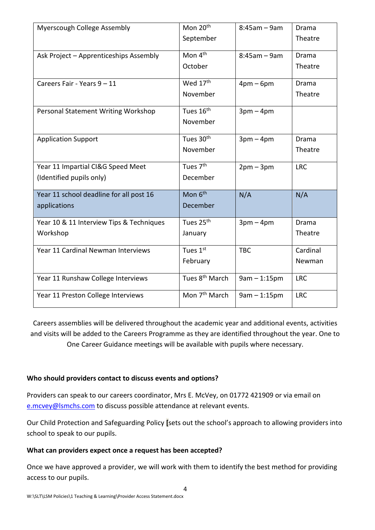| Myerscough College Assembly              | Mon 20 <sup>th</sup>       | $8:45am - 9am$ | Drama        |
|------------------------------------------|----------------------------|----------------|--------------|
|                                          | September                  |                | Theatre      |
| Ask Project - Apprenticeships Assembly   | Mon 4 <sup>th</sup>        | $8:45am - 9am$ | <b>Drama</b> |
|                                          | October                    |                | Theatre      |
| Careers Fair - Years 9 - 11              | Wed 17th                   | $4pm-6pm$      | <b>Drama</b> |
|                                          | November                   |                | Theatre      |
| Personal Statement Writing Workshop      | Tues 16 <sup>th</sup>      | $3pm-4pm$      |              |
|                                          | November                   |                |              |
| <b>Application Support</b>               | Tues 30th                  | $3pm-4pm$      | <b>Drama</b> |
|                                          | November                   |                | Theatre      |
| Year 11 Impartial CI&G Speed Meet        | Tues 7 <sup>th</sup>       | $2pm-3pm$      | <b>LRC</b>   |
| (Identified pupils only)                 | December                   |                |              |
| Year 11 school deadline for all post 16  | Mon 6 <sup>th</sup>        | N/A            | N/A          |
| applications                             | December                   |                |              |
| Year 10 & 11 Interview Tips & Techniques | Tues 25th                  | $3pm-4pm$      | Drama        |
| Workshop                                 | January                    |                | Theatre      |
| Year 11 Cardinal Newman Interviews       | Tues 1st                   | <b>TBC</b>     | Cardinal     |
|                                          | February                   |                | Newman       |
| Year 11 Runshaw College Interviews       | Tues 8 <sup>th</sup> March | $9am - 1:15pm$ | <b>LRC</b>   |
| Year 11 Preston College Interviews       | Mon 7 <sup>th</sup> March  | $9am - 1:15pm$ | <b>LRC</b>   |

Careers assemblies will be delivered throughout the academic year and additional events, activities and visits will be added to the Careers Programme as they are identified throughout the year. One to One Career Guidance meetings will be available with pupils where necessary.

## **Who should providers contact to discuss events and options?**

Providers can speak to our careers coordinator, Mrs E. McVey, on 01772 421909 or via email on [e.mcvey@lsmchs.com](mailto:e.mcvey@lsmchs.com) to discuss possible attendance at relevant events.

Our Child Protection and Safeguarding Policy **[**sets out the school's approach to allowing providers into school to speak to our pupils.

## **What can providers expect once a request has been accepted?**

Once we have approved a provider, we will work with them to identify the best method for providing access to our pupils.